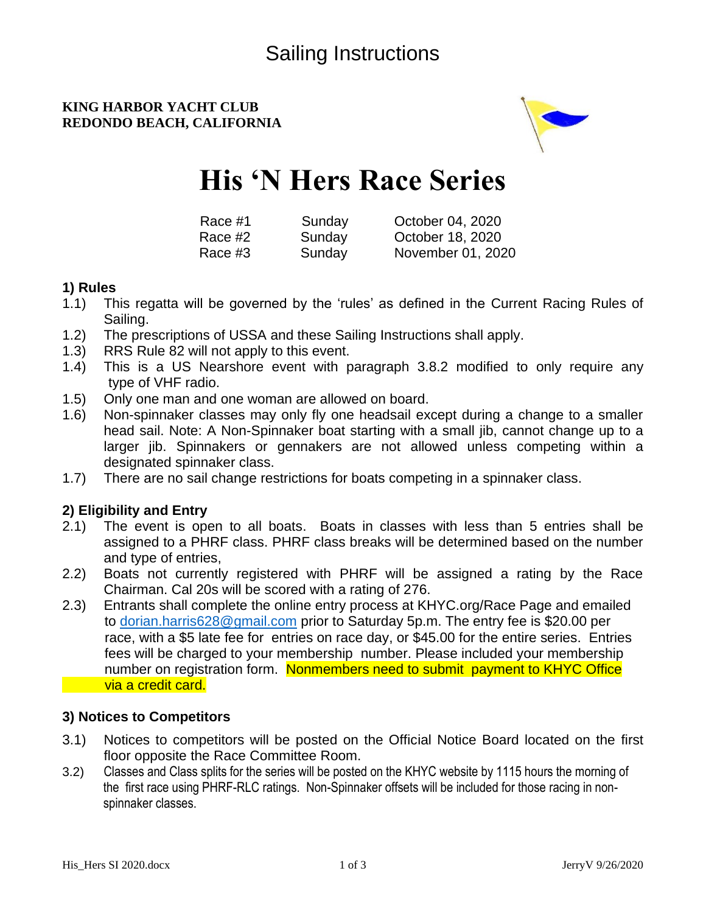# **KING HARBOR YACHT CLUB REDONDO BEACH, CALIFORNIA**



# **His 'N Hers Race Series**

| Race #1 | Sunday | October 04, 2020  |
|---------|--------|-------------------|
| Race #2 | Sunday | October 18, 2020  |
| Race #3 | Sunday | November 01, 2020 |

## **1) Rules**

- 1.1) This regatta will be governed by the 'rules' as defined in the Current Racing Rules of Sailing.
- 1.2) The prescriptions of USSA and these Sailing Instructions shall apply.
- 1.3) RRS Rule 82 will not apply to this event.
- 1.4) This is a US Nearshore event with paragraph 3.8.2 modified to only require any type of VHF radio.
- 1.5) Only one man and one woman are allowed on board.
- 1.6) Non-spinnaker classes may only fly one headsail except during a change to a smaller head sail. Note: A Non-Spinnaker boat starting with a small jib, cannot change up to a larger jib. Spinnakers or gennakers are not allowed unless competing within a designated spinnaker class.
- 1.7) There are no sail change restrictions for boats competing in a spinnaker class.

# **2) Eligibility and Entry**

- 2.1) The event is open to all boats. Boats in classes with less than 5 entries shall be assigned to a PHRF class. PHRF class breaks will be determined based on the number and type of entries,
- 2.2) Boats not currently registered with PHRF will be assigned a rating by the Race Chairman. Cal 20s will be scored with a rating of 276.
- 2.3) Entrants shall complete the online entry process at KHYC.org/Race Page and emailed to dorian.harris628@gmail.com prior to Saturday 5p.m. The entry fee is \$20.00 per race, with a \$5 late fee for entries on race day, or \$45.00 for the entire series. Entries fees will be charged to your membership number. Please included your membership number on registration form. Nonmembers need to submit payment to KHYC Office via a credit card.

# **3) Notices to Competitors**

- 3.1) Notices to competitors will be posted on the Official Notice Board located on the first floor opposite the Race Committee Room.
- 3.2) Classes and Class splits for the series will be posted on the KHYC website by 1115 hours the morning of the first race using PHRF-RLC ratings. Non-Spinnaker offsets will be included for those racing in non spinnaker classes.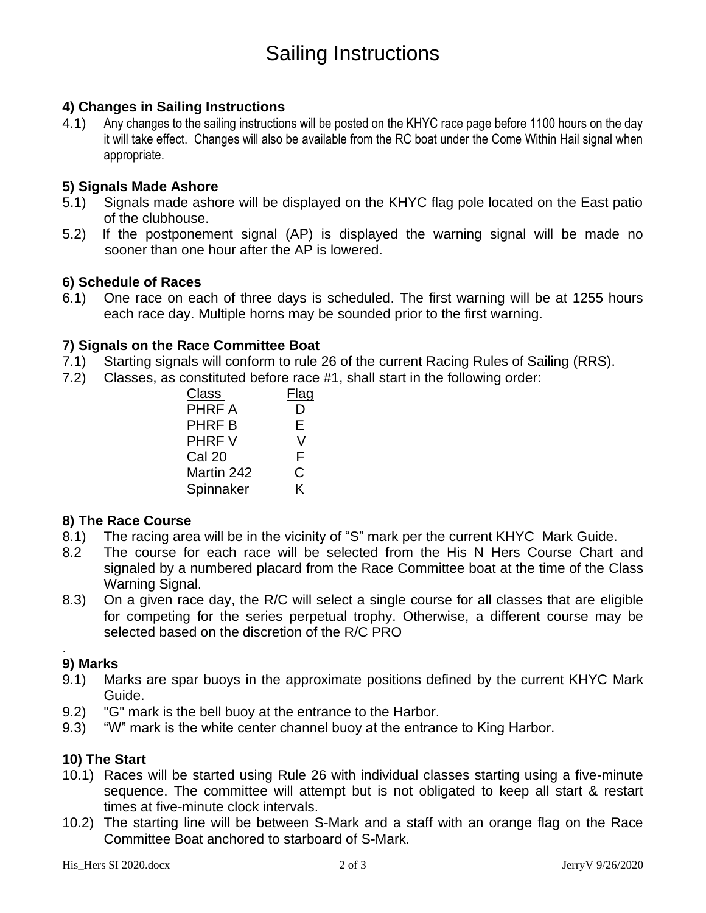# Sailing Instructions

## **4) Changes in Sailing Instructions**

4.1) Any changes to the sailing instructions will be posted on the KHYC race page before 1100 hours on the day it will take effect. Changes will also be available from the RC boat under the Come Within Hail signal when appropriate.

#### **5) Signals Made Ashore**

- 5.1) Signals made ashore will be displayed on the KHYC flag pole located on the East patio of the clubhouse.
- 5.2) If the postponement signal (AP) is displayed the warning signal will be made no sooner than one hour after the AP is lowered.

#### **6) Schedule of Races**

6.1) One race on each of three days is scheduled. The first warning will be at 1255 hours each race day. Multiple horns may be sounded prior to the first warning.

#### **7) Signals on the Race Committee Boat**

- 7.1) Starting signals will conform to rule 26 of the current Racing Rules of Sailing (RRS).
- 7.2) Classes, as constituted before race #1, shall start in the following order:

| Class         | Flag |
|---------------|------|
| <b>PHRF A</b> | D    |
| <b>PHRF B</b> | Е    |
| <b>PHRFV</b>  | V    |
| <b>Cal 20</b> | F    |
| Martin 242    | C    |
| Spinnaker     | K    |

#### **8) The Race Course**

- 8.1) The racing area will be in the vicinity of "S" mark per the current KHYC Mark Guide.
- 8.2 The course for each race will be selected from the His N Hers Course Chart and signaled by a numbered placard from the Race Committee boat at the time of the Class Warning Signal.
- 8.3) On a given race day, the R/C will select a single course for all classes that are eligible for competing for the series perpetual trophy. Otherwise, a different course may be selected based on the discretion of the R/C PRO

#### . **9) Marks**

- 9.1) Marks are spar buoys in the approximate positions defined by the current KHYC Mark Guide.
- 9.2) "G" mark is the bell buoy at the entrance to the Harbor.
- 9.3) "W" mark is the white center channel buoy at the entrance to King Harbor.

#### **10) The Start**

- 10.1) Races will be started using Rule 26 with individual classes starting using a five-minute sequence. The committee will attempt but is not obligated to keep all start & restart times at five-minute clock intervals.
- 10.2) The starting line will be between S-Mark and a staff with an orange flag on the Race Committee Boat anchored to starboard of S-Mark.